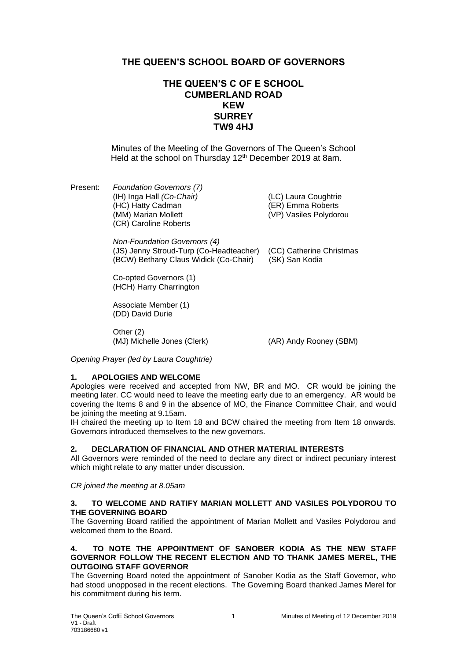# **THE QUEEN'S SCHOOL BOARD OF GOVERNORS**

# **THE QUEEN'S C OF E SCHOOL CUMBERLAND ROAD KEW SURREY TW9 4HJ**

Minutes of the Meeting of the Governors of The Queen's School Held at the school on Thursday 12<sup>th</sup> December 2019 at 8am.

Present: *Foundation Governors (7)* (IH) Inga Hall *(Co-Chair)* (LC) Laura Coughtrie (HC) Hatty Cadman (ER) Emma Roberts (MM) Marian Mollett (VP) Vasiles Polydorou (CR) Caroline Roberts

*Non-Foundation Governors (4)* (JS) Jenny Stroud-Turp (Co-Headteacher) (CC) Catherine Christmas (BCW) Bethany Claus Widick (Co-Chair) (SK) San Kodia

Co-opted Governors (1) (HCH) Harry Charrington

Associate Member (1) (DD) David Durie

Other (2) (MJ) Michelle Jones (Clerk) (AR) Andy Rooney (SBM)

*Opening Prayer (led by Laura Coughtrie)*

## **1. APOLOGIES AND WELCOME**

Apologies were received and accepted from NW, BR and MO. CR would be joining the meeting later. CC would need to leave the meeting early due to an emergency. AR would be covering the Items 8 and 9 in the absence of MO, the Finance Committee Chair, and would be joining the meeting at 9.15am.

IH chaired the meeting up to Item 18 and BCW chaired the meeting from Item 18 onwards. Governors introduced themselves to the new governors.

## **2. DECLARATION OF FINANCIAL AND OTHER MATERIAL INTERESTS**

All Governors were reminded of the need to declare any direct or indirect pecuniary interest which might relate to any matter under discussion.

*CR joined the meeting at 8.05am*

#### **3. TO WELCOME AND RATIFY MARIAN MOLLETT AND VASILES POLYDOROU TO THE GOVERNING BOARD**

The Governing Board ratified the appointment of Marian Mollett and Vasiles Polydorou and welcomed them to the Board.

### **4. TO NOTE THE APPOINTMENT OF SANOBER KODIA AS THE NEW STAFF GOVERNOR FOLLOW THE RECENT ELECTION AND TO THANK JAMES MEREL, THE OUTGOING STAFF GOVERNOR**

The Governing Board noted the appointment of Sanober Kodia as the Staff Governor, who had stood unopposed in the recent elections. The Governing Board thanked James Merel for his commitment during his term.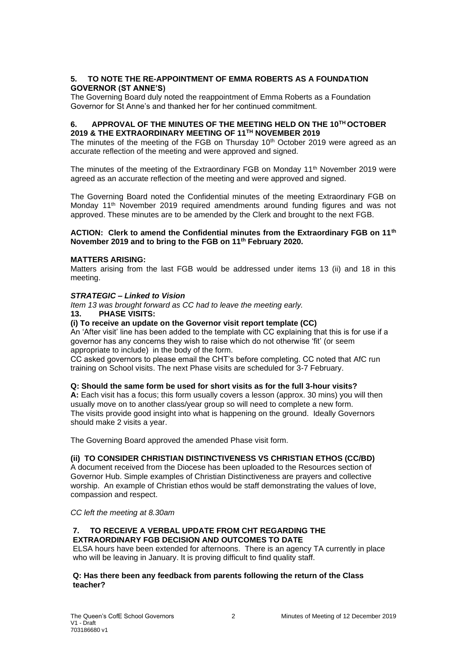## **5. TO NOTE THE RE-APPOINTMENT OF EMMA ROBERTS AS A FOUNDATION GOVERNOR (ST ANNE'S)**

The Governing Board duly noted the reappointment of Emma Roberts as a Foundation Governor for St Anne's and thanked her for her continued commitment.

#### **6. APPROVAL OF THE MINUTES OF THE MEETING HELD ON THE 10TH OCTOBER 2019 & THE EXTRAORDINARY MEETING OF 11TH NOVEMBER 2019**

The minutes of the meeting of the FGB on Thursday  $10<sup>th</sup>$  October 2019 were agreed as an accurate reflection of the meeting and were approved and signed.

The minutes of the meeting of the Extraordinary FGB on Monday  $11<sup>th</sup>$  November 2019 were agreed as an accurate reflection of the meeting and were approved and signed.

The Governing Board noted the Confidential minutes of the meeting Extraordinary FGB on Monday 11<sup>th</sup> November 2019 required amendments around funding figures and was not approved. These minutes are to be amended by the Clerk and brought to the next FGB.

#### **ACTION: Clerk to amend the Confidential minutes from the Extraordinary FGB on 11th November 2019 and to bring to the FGB on 11th February 2020.**

#### **MATTERS ARISING:**

Matters arising from the last FGB would be addressed under items 13 (ii) and 18 in this meeting.

### *STRATEGIC – Linked to Vision*

*Item 13 was brought forward as CC had to leave the meeting early.*

# **13. PHASE VISITS:**

**(i) To receive an update on the Governor visit report template (CC)**

An 'After visit' line has been added to the template with CC explaining that this is for use if a governor has any concerns they wish to raise which do not otherwise 'fit' (or seem appropriate to include) in the body of the form.

CC asked governors to please email the CHT's before completing. CC noted that AfC run training on School visits. The next Phase visits are scheduled for 3-7 February.

#### **Q: Should the same form be used for short visits as for the full 3-hour visits?**

**A:** Each visit has a focus; this form usually covers a lesson (approx. 30 mins) you will then usually move on to another class/year group so will need to complete a new form. The visits provide good insight into what is happening on the ground. Ideally Governors should make 2 visits a year.

The Governing Board approved the amended Phase visit form.

## **(ii) TO CONSIDER CHRISTIAN DISTINCTIVENESS VS CHRISTIAN ETHOS (CC/BD)**

A document received from the Diocese has been uploaded to the Resources section of Governor Hub. Simple examples of Christian Distinctiveness are prayers and collective worship. An example of Christian ethos would be staff demonstrating the values of love, compassion and respect.

*CC left the meeting at 8.30am*

## **7. TO RECEIVE A VERBAL UPDATE FROM CHT REGARDING THE EXTRAORDINARY FGB DECISION AND OUTCOMES TO DATE**

ELSA hours have been extended for afternoons. There is an agency TA currently in place who will be leaving in January. It is proving difficult to find quality staff.

#### **Q: Has there been any feedback from parents following the return of the Class teacher?**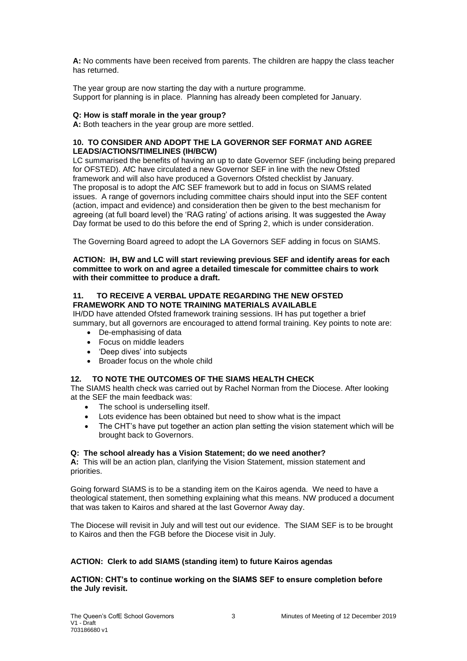**A:** No comments have been received from parents. The children are happy the class teacher has returned.

The year group are now starting the day with a nurture programme. Support for planning is in place. Planning has already been completed for January.

## **Q: How is staff morale in the year group?**

A: Both teachers in the year group are more settled.

### **10. TO CONSIDER AND ADOPT THE LA GOVERNOR SEF FORMAT AND AGREE LEADS/ACTIONS/TIMELINES (IH/BCW)**

LC summarised the benefits of having an up to date Governor SEF (including being prepared for OFSTED). AfC have circulated a new Governor SEF in line with the new Ofsted framework and will also have produced a Governors Ofsted checklist by January. The proposal is to adopt the AfC SEF framework but to add in focus on SIAMS related issues. A range of governors including committee chairs should input into the SEF content (action, impact and evidence) and consideration then be given to the best mechanism for agreeing (at full board level) the 'RAG rating' of actions arising. It was suggested the Away Day format be used to do this before the end of Spring 2, which is under consideration.

The Governing Board agreed to adopt the LA Governors SEF adding in focus on SIAMS.

**ACTION: IH, BW and LC will start reviewing previous SEF and identify areas for each committee to work on and agree a detailed timescale for committee chairs to work with their committee to produce a draft.** 

## **11. TO RECEIVE A VERBAL UPDATE REGARDING THE NEW OFSTED FRAMEWORK AND TO NOTE TRAINING MATERIALS AVAILABLE**

IH/DD have attended Ofsted framework training sessions. IH has put together a brief summary, but all governors are encouraged to attend formal training. Key points to note are:

- De-emphasising of data
- Focus on middle leaders
- 'Deep dives' into subjects
- Broader focus on the whole child

## **12. TO NOTE THE OUTCOMES OF THE SIAMS HEALTH CHECK**

The SIAMS health check was carried out by Rachel Norman from the Diocese. After looking at the SEF the main feedback was:

- The school is underselling itself.
- Lots evidence has been obtained but need to show what is the impact
- The CHT's have put together an action plan setting the vision statement which will be brought back to Governors.

## **Q: The school already has a Vision Statement; do we need another?**

**A:** This will be an action plan, clarifying the Vision Statement, mission statement and priorities.

Going forward SIAMS is to be a standing item on the Kairos agenda. We need to have a theological statement, then something explaining what this means. NW produced a document that was taken to Kairos and shared at the last Governor Away day.

The Diocese will revisit in July and will test out our evidence. The SIAM SEF is to be brought to Kairos and then the FGB before the Diocese visit in July.

## **ACTION: Clerk to add SIAMS (standing item) to future Kairos agendas**

## **ACTION: CHT's to continue working on the SIAMS SEF to ensure completion before the July revisit.**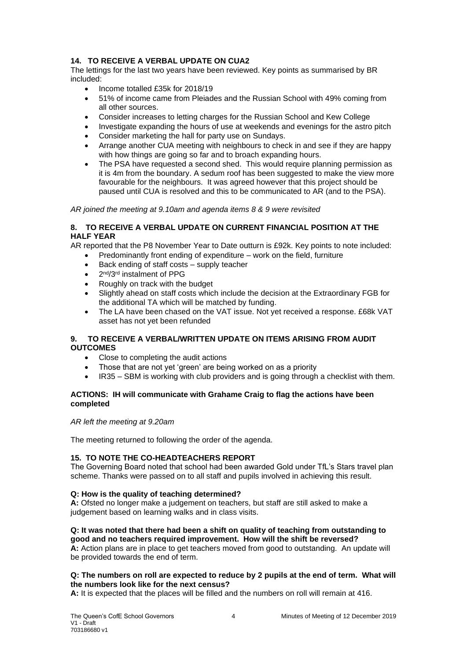## **14. TO RECEIVE A VERBAL UPDATE ON CUA2**

The lettings for the last two years have been reviewed. Key points as summarised by BR included:

- Income totalled £35k for 2018/19
- 51% of income came from Pleiades and the Russian School with 49% coming from all other sources.
- Consider increases to letting charges for the Russian School and Kew College
- Investigate expanding the hours of use at weekends and evenings for the astro pitch
- Consider marketing the hall for party use on Sundays.
- Arrange another CUA meeting with neighbours to check in and see if they are happy with how things are going so far and to broach expanding hours.
- The PSA have requested a second shed. This would require planning permission as it is 4m from the boundary. A sedum roof has been suggested to make the view more favourable for the neighbours. It was agreed however that this project should be paused until CUA is resolved and this to be communicated to AR (and to the PSA).

*AR joined the meeting at 9.10am and agenda items 8 & 9 were revisited*

### **8. TO RECEIVE A VERBAL UPDATE ON CURRENT FINANCIAL POSITION AT THE HALF YEAR**

AR reported that the P8 November Year to Date outturn is £92k. Key points to note included:

- Predominantly front ending of expenditure work on the field, furniture
	- Back ending of staff costs supply teacher
	- 2<sup>nd</sup>/3<sup>rd</sup> instalment of PPG
	- Roughly on track with the budget
	- Slightly ahead on staff costs which include the decision at the Extraordinary FGB for the additional TA which will be matched by funding.
	- The LA have been chased on the VAT issue. Not yet received a response. £68k VAT asset has not yet been refunded

## **9. TO RECEIVE A VERBAL/WRITTEN UPDATE ON ITEMS ARISING FROM AUDIT OUTCOMES**

- Close to completing the audit actions
- Those that are not yet 'green' are being worked on as a priority
- IR35 SBM is working with club providers and is going through a checklist with them.

## **ACTIONS: IH will communicate with Grahame Craig to flag the actions have been completed**

## *AR left the meeting at 9.20am*

The meeting returned to following the order of the agenda.

## **15. TO NOTE THE CO-HEADTEACHERS REPORT**

The Governing Board noted that school had been awarded Gold under TfL's Stars travel plan scheme. Thanks were passed on to all staff and pupils involved in achieving this result.

## **Q: How is the quality of teaching determined?**

**A:** Ofsted no longer make a judgement on teachers, but staff are still asked to make a judgement based on learning walks and in class visits.

#### **Q: It was noted that there had been a shift on quality of teaching from outstanding to good and no teachers required improvement. How will the shift be reversed?**

**A:** Action plans are in place to get teachers moved from good to outstanding. An update will be provided towards the end of term.

## **Q: The numbers on roll are expected to reduce by 2 pupils at the end of term. What will the numbers look like for the next census?**

**A:** It is expected that the places will be filled and the numbers on roll will remain at 416.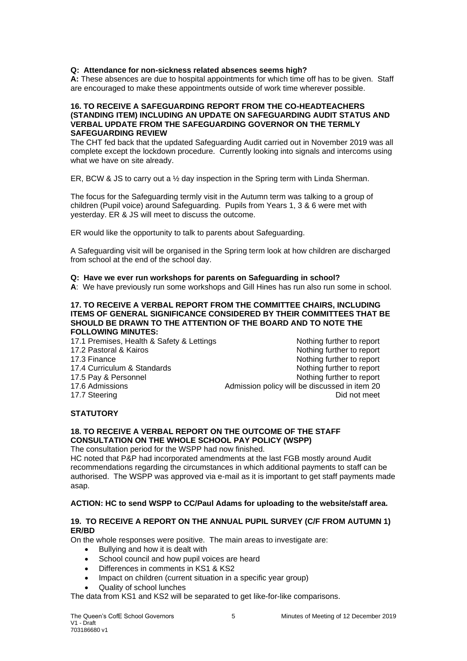## **Q: Attendance for non-sickness related absences seems high?**

**A:** These absences are due to hospital appointments for which time off has to be given. Staff are encouraged to make these appointments outside of work time wherever possible.

#### **16. TO RECEIVE A SAFEGUARDING REPORT FROM THE CO-HEADTEACHERS (STANDING ITEM) INCLUDING AN UPDATE ON SAFEGUARDING AUDIT STATUS AND VERBAL UPDATE FROM THE SAFEGUARDING GOVERNOR ON THE TERMLY SAFEGUARDING REVIEW**

The CHT fed back that the updated Safeguarding Audit carried out in November 2019 was all complete except the lockdown procedure. Currently looking into signals and intercoms using what we have on site already.

ER, BCW & JS to carry out a ½ day inspection in the Spring term with Linda Sherman.

The focus for the Safeguarding termly visit in the Autumn term was talking to a group of children (Pupil voice) around Safeguarding. Pupils from Years 1, 3 & 6 were met with yesterday. ER & JS will meet to discuss the outcome.

ER would like the opportunity to talk to parents about Safeguarding.

A Safeguarding visit will be organised in the Spring term look at how children are discharged from school at the end of the school day.

## **Q: Have we ever run workshops for parents on Safeguarding in school?**

**A**: We have previously run some workshops and Gill Hines has run also run some in school.

#### **17. TO RECEIVE A VERBAL REPORT FROM THE COMMITTEE CHAIRS, INCLUDING ITEMS OF GENERAL SIGNIFICANCE CONSIDERED BY THEIR COMMITTEES THAT BE SHOULD BE DRAWN TO THE ATTENTION OF THE BOARD AND TO NOTE THE FOLLOWING MINUTES:**

17.1 Premises, Health & Safety & Lettings Nothing further to report 17.2 Pastoral & Kairos **Notifiant Community Community** Nothing further to report 17.3 Finance **Nothing further to report** Nothing further to report 17.4 Curriculum & Standards Nothing further to report 17.5 Pay & Personnel 2008 and 17.5 Pay & Personnel 2008 and 2009 and 2009 and 2009 and 2009 and 2009 and 2009 and 2009 and 2009 and 2009 and 2009 and 2009 and 2009 and 2009 and 2009 and 2009 and 2009 and 2009 and 2009 and 17.6 Admissions **Admission policy will be discussed in item 20** 17.7 Steering **Did not meet** and the property of the control of the Did not meet **Did not meet** 

## **STATUTORY**

#### **18. TO RECEIVE A VERBAL REPORT ON THE OUTCOME OF THE STAFF CONSULTATION ON THE WHOLE SCHOOL PAY POLICY (WSPP)** The consultation period for the WSPP had now finished.

HC noted that P&P had incorporated amendments at the last FGB mostly around Audit recommendations regarding the circumstances in which additional payments to staff can be authorised. The WSPP was approved via e-mail as it is important to get staff payments made asap.

## **ACTION: HC to send WSPP to CC/Paul Adams for uploading to the website/staff area.**

## **19. TO RECEIVE A REPORT ON THE ANNUAL PUPIL SURVEY (C/F FROM AUTUMN 1) ER/BD**

On the whole responses were positive. The main areas to investigate are:

- Bullying and how it is dealt with
- School council and how pupil voices are heard
- Differences in comments in KS1 & KS2
- Impact on children (current situation in a specific year group)
- Quality of school lunches

The data from KS1 and KS2 will be separated to get like-for-like comparisons.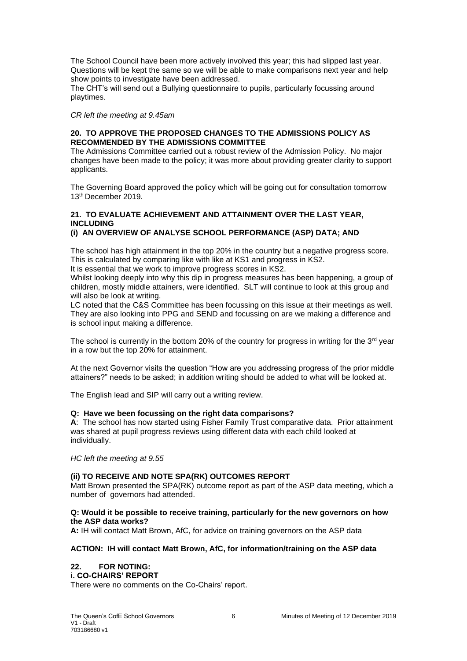The School Council have been more actively involved this year; this had slipped last year. Questions will be kept the same so we will be able to make comparisons next year and help show points to investigate have been addressed.

The CHT's will send out a Bullying questionnaire to pupils, particularly focussing around playtimes.

*CR left the meeting at 9.45am*

## **20. TO APPROVE THE PROPOSED CHANGES TO THE ADMISSIONS POLICY AS RECOMMENDED BY THE ADMISSIONS COMMITTEE**

The Admissions Committee carried out a robust review of the Admission Policy. No major changes have been made to the policy; it was more about providing greater clarity to support applicants.

The Governing Board approved the policy which will be going out for consultation tomorrow 13th December 2019.

# **21. TO EVALUATE ACHIEVEMENT AND ATTAINMENT OVER THE LAST YEAR, INCLUDING**

## **(i) AN OVERVIEW OF ANALYSE SCHOOL PERFORMANCE (ASP) DATA; AND**

The school has high attainment in the top 20% in the country but a negative progress score. This is calculated by comparing like with like at KS1 and progress in KS2.

It is essential that we work to improve progress scores in KS2.

Whilst looking deeply into why this dip in progress measures has been happening, a group of children, mostly middle attainers, were identified. SLT will continue to look at this group and will also be look at writing.

LC noted that the C&S Committee has been focussing on this issue at their meetings as well. They are also looking into PPG and SEND and focussing on are we making a difference and is school input making a difference.

The school is currently in the bottom 20% of the country for progress in writing for the 3<sup>rd</sup> year in a row but the top 20% for attainment.

At the next Governor visits the question "How are you addressing progress of the prior middle attainers?" needs to be asked; in addition writing should be added to what will be looked at.

The English lead and SIP will carry out a writing review.

## **Q: Have we been focussing on the right data comparisons?**

**A**: The school has now started using Fisher Family Trust comparative data. Prior attainment was shared at pupil progress reviews using different data with each child looked at individually.

*HC left the meeting at 9.55* 

## **(ii) TO RECEIVE AND NOTE SPA(RK) OUTCOMES REPORT**

Matt Brown presented the SPA(RK) outcome report as part of the ASP data meeting, which a number of governors had attended.

## **Q: Would it be possible to receive training, particularly for the new governors on how the ASP data works?**

**A:** IH will contact Matt Brown, AfC, for advice on training governors on the ASP data

## **ACTION: IH will contact Matt Brown, AfC, for information/training on the ASP data**

## **22. FOR NOTING:**

## **i. CO-CHAIRS' REPORT**

There were no comments on the Co-Chairs' report.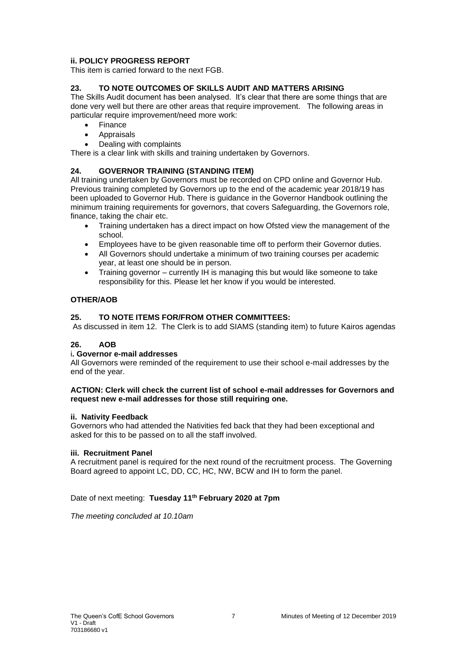## **ii. POLICY PROGRESS REPORT**

This item is carried forward to the next FGB.

## **23. TO NOTE OUTCOMES OF SKILLS AUDIT AND MATTERS ARISING**

The Skills Audit document has been analysed. It's clear that there are some things that are done very well but there are other areas that require improvement. The following areas in particular require improvement/need more work:

- Finance
- Appraisals
- Dealing with complaints

There is a clear link with skills and training undertaken by Governors.

## **24. GOVERNOR TRAINING (STANDING ITEM)**

All training undertaken by Governors must be recorded on CPD online and Governor Hub. Previous training completed by Governors up to the end of the academic year 2018/19 has been uploaded to Governor Hub. There is guidance in the Governor Handbook outlining the minimum training requirements for governors, that covers Safeguarding, the Governors role, finance, taking the chair etc.

- Training undertaken has a direct impact on how Ofsted view the management of the school.
- Employees have to be given reasonable time off to perform their Governor duties.
- All Governors should undertake a minimum of two training courses per academic year, at least one should be in person.
- Training governor currently IH is managing this but would like someone to take responsibility for this. Please let her know if you would be interested.

## **OTHER/AOB**

## **25. TO NOTE ITEMS FOR/FROM OTHER COMMITTEES:**

As discussed in item 12. The Clerk is to add SIAMS (standing item) to future Kairos agendas

## **26. AOB**

## i**. Governor e-mail addresses**

All Governors were reminded of the requirement to use their school e-mail addresses by the end of the year.

#### **ACTION: Clerk will check the current list of school e-mail addresses for Governors and request new e-mail addresses for those still requiring one.**

## **ii. Nativity Feedback**

Governors who had attended the Nativities fed back that they had been exceptional and asked for this to be passed on to all the staff involved.

## **iii. Recruitment Panel**

A recruitment panel is required for the next round of the recruitment process. The Governing Board agreed to appoint LC, DD, CC, HC, NW, BCW and IH to form the panel.

## Date of next meeting: **Tuesday 11th February 2020 at 7pm**

*The meeting concluded at 10.10am*